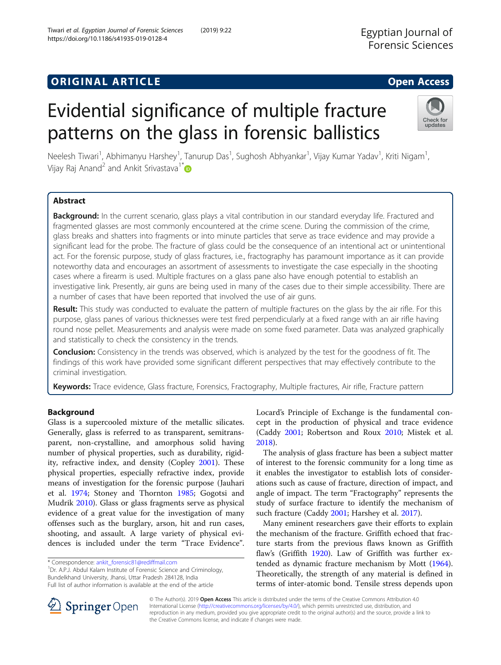# Evidential significance of multiple fracture

patterns on the glass in forensic ballistics

Neelesh Tiwari<sup>1</sup>, Abhimanyu Harshey<sup>1</sup>, Tanurup Das<sup>1</sup>, Sughosh Abhyankar<sup>1</sup>, Vijay Kumar Yadav<sup>1</sup>, Kriti Nigam<sup>1</sup> , Vijay Raj Anand<sup>2</sup> and Ankit Srivastava<sup>1\*</sup>

# Abstract

Background: In the current scenario, glass plays a vital contribution in our standard everyday life. Fractured and fragmented glasses are most commonly encountered at the crime scene. During the commission of the crime, glass breaks and shatters into fragments or into minute particles that serve as trace evidence and may provide a significant lead for the probe. The fracture of glass could be the consequence of an intentional act or unintentional act. For the forensic purpose, study of glass fractures, i.e., fractography has paramount importance as it can provide noteworthy data and encourages an assortment of assessments to investigate the case especially in the shooting cases where a firearm is used. Multiple fractures on a glass pane also have enough potential to establish an investigative link. Presently, air guns are being used in many of the cases due to their simple accessibility. There are a number of cases that have been reported that involved the use of air guns.

Result: This study was conducted to evaluate the pattern of multiple fractures on the glass by the air rifle. For this purpose, glass panes of various thicknesses were test fired perpendicularly at a fixed range with an air rifle having round nose pellet. Measurements and analysis were made on some fixed parameter. Data was analyzed graphically and statistically to check the consistency in the trends.

**Conclusion:** Consistency in the trends was observed, which is analyzed by the test for the goodness of fit. The findings of this work have provided some significant different perspectives that may effectively contribute to the criminal investigation.

Keywords: Trace evidence, Glass fracture, Forensics, Fractography, Multiple fractures, Air rifle, Fracture pattern

# Background

Glass is a supercooled mixture of the metallic silicates. Generally, glass is referred to as transparent, semitransparent, non-crystalline, and amorphous solid having number of physical properties, such as durability, rigidity, refractive index, and density (Copley [2001](#page-4-0)). These physical properties, especially refractive index, provide means of investigation for the forensic purpose (Jauhari et al. [1974](#page-4-0); Stoney and Thornton [1985](#page-4-0); Gogotsi and Mudrik [2010](#page-4-0)). Glass or glass fragments serve as physical evidence of a great value for the investigation of many offenses such as the burglary, arson, hit and run cases, shooting, and assault. A large variety of physical evidences is included under the term "Trace Evidence".

\* Correspondence: [ankit\\_forensic81@rediffmail.com](mailto:ankit_forensic81@rediffmail.com) <sup>1</sup>

<sup>1</sup>Dr. A.P.J. Abdul Kalam Institute of Forensic Science and Criminology, Bundelkhand University, Jhansi, Uttar Pradesh 284128, India Full list of author information is available at the end of the article

> © The Author(s). 2019 Open Access This article is distributed under the terms of the Creative Commons Attribution 4.0 International License ([http://creativecommons.org/licenses/by/4.0/\)](http://creativecommons.org/licenses/by/4.0/), which permits unrestricted use, distribution, and reproduction in any medium, provided you give appropriate credit to the original author(s) and the source, provide a link to the Creative Commons license, and indicate if changes were made.

Locard's Principle of Exchange is the fundamental concept in the production of physical and trace evidence (Caddy [2001](#page-4-0); Robertson and Roux [2010](#page-4-0); Mistek et al. [2018](#page-4-0)).

The analysis of glass fracture has been a subject matter of interest to the forensic community for a long time as it enables the investigator to establish lots of considerations such as cause of fracture, direction of impact, and angle of impact. The term "Fractography" represents the study of surface fracture to identify the mechanism of such fracture (Caddy [2001;](#page-4-0) Harshey et al. [2017\)](#page-4-0).

Many eminent researchers gave their efforts to explain the mechanism of the fracture. Griffith echoed that fracture starts from the previous flaws known as Griffith flaw's (Griffith [1920](#page-4-0)). Law of Griffith was further extended as dynamic fracture mechanism by Mott ([1964](#page-4-0)). Theoretically, the strength of any material is defined in terms of inter-atomic bond. Tensile stress depends upon



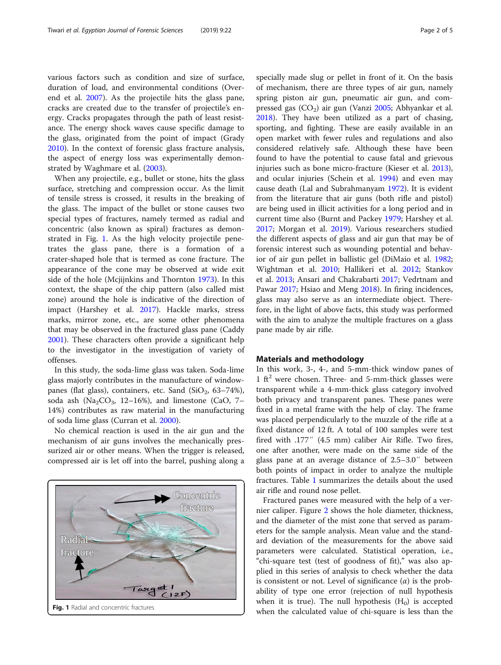various factors such as condition and size of surface, duration of load, and environmental conditions (Overend et al. [2007](#page-4-0)). As the projectile hits the glass pane, cracks are created due to the transfer of projectile's energy. Cracks propagates through the path of least resistance. The energy shock waves cause specific damage to the glass, originated from the point of impact (Grady [2010](#page-4-0)). In the context of forensic glass fracture analysis, the aspect of energy loss was experimentally demonstrated by Waghmare et al. ([2003](#page-4-0)).

When any projectile, e.g., bullet or stone, hits the glass surface, stretching and compression occur. As the limit of tensile stress is crossed, it results in the breaking of the glass. The impact of the bullet or stone causes two special types of fractures, namely termed as radial and concentric (also known as spiral) fractures as demonstrated in Fig. 1. As the high velocity projectile penetrates the glass pane, there is a formation of a crater-shaped hole that is termed as cone fracture. The appearance of the cone may be observed at wide exit side of the hole (Mcjijnkins and Thornton [1973](#page-4-0)). In this context, the shape of the chip pattern (also called mist zone) around the hole is indicative of the direction of impact (Harshey et al. [2017\)](#page-4-0). Hackle marks, stress marks, mirror zone, etc., are some other phenomena that may be observed in the fractured glass pane (Caddy [2001](#page-4-0)). These characters often provide a significant help to the investigator in the investigation of variety of offenses.

In this study, the soda-lime glass was taken. Soda-lime glass majorly contributes in the manufacture of windowpanes (flat glass), containers, etc. Sand (SiO<sub>2</sub>, 63–74%), soda ash (Na<sub>2</sub>CO<sub>3</sub>, 12–16%), and limestone (CaO, 7– 14%) contributes as raw material in the manufacturing of soda lime glass (Curran et al. [2000](#page-4-0)).

No chemical reaction is used in the air gun and the mechanism of air guns involves the mechanically pressurized air or other means. When the trigger is released, compressed air is let off into the barrel, pushing along a



specially made slug or pellet in front of it. On the basis of mechanism, there are three types of air gun, namely spring piston air gun, pneumatic air gun, and compressed gas  $(CO<sub>2</sub>)$  air gun (Vanzi [2005;](#page-4-0) Abhyankar et al. [2018](#page-4-0)). They have been utilized as a part of chasing, sporting, and fighting. These are easily available in an open market with fewer rules and regulations and also considered relatively safe. Although these have been found to have the potential to cause fatal and grievous injuries such as bone micro-fracture (Kieser et al. [2013](#page-4-0)), and ocular injuries (Schein et al. [1994](#page-4-0)) and even may cause death (Lal and Subrahmanyam [1972\)](#page-4-0). It is evident from the literature that air guns (both rifle and pistol) are being used in illicit activities for a long period and in current time also (Burnt and Packey [1979;](#page-4-0) Harshey et al. [2017](#page-4-0); Morgan et al. [2019](#page-4-0)). Various researchers studied the different aspects of glass and air gun that may be of forensic interest such as wounding potential and behavior of air gun pellet in ballistic gel (DiMaio et al. [1982](#page-4-0); Wightman et al. [2010;](#page-4-0) Hallikeri et al. [2012](#page-4-0); Stankov et al. [2013;](#page-4-0) Ansari and Chakrabarti [2017](#page-4-0); Vedrtnam and

Pawar [2017](#page-4-0); Hsiao and Meng [2018\)](#page-4-0). In firing incidences, glass may also serve as an intermediate object. Therefore, in the light of above facts, this study was performed with the aim to analyze the multiple fractures on a glass pane made by air rifle.

## Materials and methodology

In this work, 3-, 4-, and 5-mm-thick window panes of 1 ft<sup>2</sup> were chosen. Three- and 5-mm-thick glasses were transparent while a 4-mm-thick glass category involved both privacy and transparent panes. These panes were fixed in a metal frame with the help of clay. The frame was placed perpendicularly to the muzzle of the rifle at a fixed distance of 12 ft. A total of 100 samples were test fired with .177″ (4.5 mm) caliber Air Rifle. Two fires, one after another, were made on the same side of the glass pane at an average distance of 2.5–3.0″ between both points of impact in order to analyze the multiple fractures. Table [1](#page-2-0) summarizes the details about the used air rifle and round nose pellet.

Fractured panes were measured with the help of a vernier caliper. Figure [2](#page-2-0) shows the hole diameter, thickness, and the diameter of the mist zone that served as parameters for the sample analysis. Mean value and the standard deviation of the measurements for the above said parameters were calculated. Statistical operation, i.e., "chi-square test (test of goodness of fit)," was also applied in this series of analysis to check whether the data is consistent or not. Level of significance  $(\alpha)$  is the probability of type one error (rejection of null hypothesis when it is true). The null hypothesis  $(H_0)$  is accepted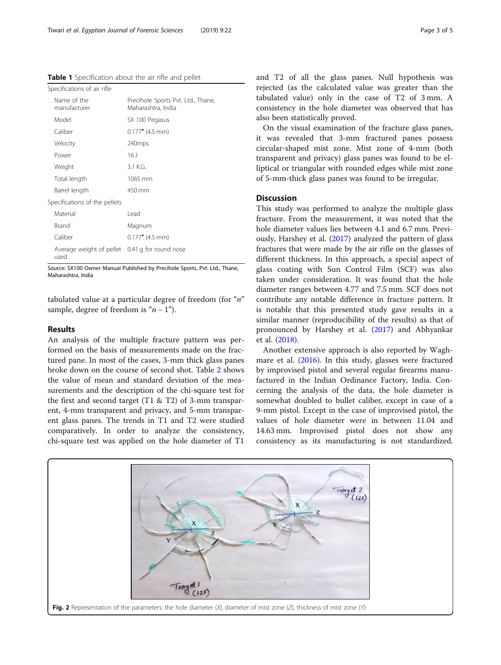<span id="page-2-0"></span>Table 1 Specification about the air rifle and pellet

| Specifications of air rifle                            |                                                          |  |  |  |  |  |
|--------------------------------------------------------|----------------------------------------------------------|--|--|--|--|--|
| Name of the<br>manufacturer                            | Precihole Sports Pvt. Ltd., Thane,<br>Maharashtra, India |  |  |  |  |  |
| Model                                                  | SX 100 Pegasus                                           |  |  |  |  |  |
| Caliber                                                | $0.177''$ (4.5 mm)                                       |  |  |  |  |  |
| Velocity                                               | 240 <sub>mps</sub>                                       |  |  |  |  |  |
| Power                                                  | 16 J                                                     |  |  |  |  |  |
| Weight                                                 | 3.1 K.G.                                                 |  |  |  |  |  |
| Total length                                           | 1065 mm                                                  |  |  |  |  |  |
| Barrel length                                          | 450 mm                                                   |  |  |  |  |  |
| Specifications of the pellets                          |                                                          |  |  |  |  |  |
| Material                                               | Lead                                                     |  |  |  |  |  |
| Brand                                                  | Magnum                                                   |  |  |  |  |  |
| Caliber                                                | $0.177''$ (4.5 mm)                                       |  |  |  |  |  |
| Average weight of pellet 0.41 g for round nose<br>used |                                                          |  |  |  |  |  |

Source: SX100 Owner Manual Published by Precihole Sports, Pvt. Ltd., Thane, Maharashtra, India

tabulated value at a particular degree of freedom (for " $n$ " sample, degree of freedom is " $n - 1$ ").

## Results

An analysis of the multiple fracture pattern was performed on the basis of measurements made on the fractured pane. In most of the cases, 3-mm thick glass panes broke down on the course of second shot. Table [2](#page-3-0) shows the value of mean and standard deviation of the measurements and the description of the chi-square test for the first and second target (T1 & T2) of 3-mm transparent, 4-mm transparent and privacy, and 5-mm transparent glass panes. The trends in T1 and T2 were studied comparatively. In order to analyze the consistency, chi-square test was applied on the hole diameter of T1

and T2 of all the glass panes. Null hypothesis was rejected (as the calculated value was greater than the tabulated value) only in the case of T2 of 3 mm. A consistency in the hole diameter was observed that has also been statistically proved.

On the visual examination of the fracture glass panes, it was revealed that 3-mm fractured panes possess circular-shaped mist zone. Mist zone of 4-mm (both transparent and privacy) glass panes was found to be elliptical or triangular with rounded edges while mist zone of 5-mm-thick glass panes was found to be irregular.

# **Discussion**

This study was performed to analyze the multiple glass fracture. From the measurement, it was noted that the hole diameter values lies between 4.1 and 6.7 mm. Previously, Harshey et al. ([2017](#page-4-0)) analyzed the pattern of glass fractures that were made by the air rifle on the glasses of different thickness. In this approach, a special aspect of glass coating with Sun Control Film (SCF) was also taken under consideration. It was found that the hole diameter ranges between 4.77 and 7.5 mm. SCF does not contribute any notable difference in fracture pattern. It is notable that this presented study gave results in a similar manner (reproducibility of the results) as that of pronounced by Harshey et al. ([2017\)](#page-4-0) and Abhyankar et al. [\(2018](#page-4-0)).

Another extensive approach is also reported by Waghmare et al. ([2016](#page-4-0)). In this study, glasses were fractured by improvised pistol and several regular firearms manufactured in the Indian Ordinance Factory, India. Concerning the analysis of the data, the hole diameter is somewhat doubled to bullet caliber, except in case of a 9-mm pistol. Except in the case of improvised pistol, the values of hole diameter were in between 11.04 and 14.63 mm. Improvised pistol does not show any consistency as its manufacturing is not standardized.

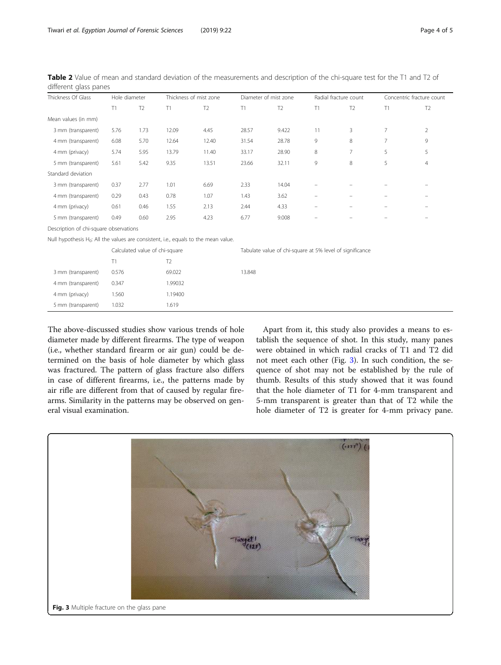| Thickness Of Glass                                                                     | Hole diameter                  |                |                | Thickness of mist zone |                                                          | Diameter of mist zone |    | Radial fracture count |                | Concentric fracture count |  |
|----------------------------------------------------------------------------------------|--------------------------------|----------------|----------------|------------------------|----------------------------------------------------------|-----------------------|----|-----------------------|----------------|---------------------------|--|
|                                                                                        | T1                             | T <sub>2</sub> | T1             | T <sub>2</sub>         | T1                                                       | T <sub>2</sub>        | T1 | T <sub>2</sub>        | T1             | T <sub>2</sub>            |  |
| Mean values (in mm)                                                                    |                                |                |                |                        |                                                          |                       |    |                       |                |                           |  |
| 3 mm (transparent)                                                                     | 5.76                           | 1.73           | 12.09          | 4.45                   | 28.57                                                    | 9.422                 | 11 | 3                     | $\overline{7}$ | $\overline{2}$            |  |
| 4 mm (transparent)                                                                     | 6.08                           | 5.70           | 12.64          | 12.40                  | 31.54                                                    | 28.78                 | 9  | 8                     | $\overline{7}$ | 9                         |  |
| 4 mm (privacy)                                                                         | 5.74                           | 5.95           | 13.79          | 11.40                  | 33.17                                                    | 28.90                 | 8  | 7                     | 5              | 5                         |  |
| 5 mm (transparent)                                                                     | 5.61                           | 5.42           | 9.35           | 13.51                  | 23.66                                                    | 32.11                 | 9  | 8                     | 5              | $\overline{4}$            |  |
| Standard deviation                                                                     |                                |                |                |                        |                                                          |                       |    |                       |                |                           |  |
| 3 mm (transparent)                                                                     | 0.37                           | 2.77           | 1.01           | 6.69                   | 2.33                                                     | 14.04                 |    |                       |                |                           |  |
| 4 mm (transparent)                                                                     | 0.29                           | 0.43           | 0.78           | 1.07                   | 1.43                                                     | 3.62                  |    |                       |                | $\overline{\phantom{m}}$  |  |
| 4 mm (privacy)                                                                         | 0.61                           | 0.46           | 1.55           | 2.13                   | 2.44                                                     | 4.33                  |    |                       |                |                           |  |
| 5 mm (transparent)                                                                     | 0.49                           | 0.60           | 2.95           | 4.23                   | 6.77                                                     | 9.008                 |    |                       |                |                           |  |
| Description of chi-square observations                                                 |                                |                |                |                        |                                                          |                       |    |                       |                |                           |  |
| Null hypothesis $H_0$ : All the values are consistent, i.e., equals to the mean value. |                                |                |                |                        |                                                          |                       |    |                       |                |                           |  |
|                                                                                        | Calculated value of chi-square |                |                |                        | Tabulate value of chi-square at 5% level of significance |                       |    |                       |                |                           |  |
|                                                                                        | T1                             |                | T <sub>2</sub> |                        |                                                          |                       |    |                       |                |                           |  |
| 3 mm (transparent)                                                                     | 0.576                          |                | 69.022         |                        | 13.848                                                   |                       |    |                       |                |                           |  |
| 4 mm (transparent)                                                                     | 0.347                          |                | 1.99032        |                        |                                                          |                       |    |                       |                |                           |  |
| 4 mm (privacy)                                                                         | 1.560                          |                | 1.19400        |                        |                                                          |                       |    |                       |                |                           |  |
| 5 mm (transparent)                                                                     | 1.032                          |                | 1.619          |                        |                                                          |                       |    |                       |                |                           |  |

<span id="page-3-0"></span>Table 2 Value of mean and standard deviation of the measurements and description of the chi-square test for the T1 and T2 of different glass panes

The above-discussed studies show various trends of hole diameter made by different firearms. The type of weapon (i.e., whether standard firearm or air gun) could be determined on the basis of hole diameter by which glass was fractured. The pattern of glass fracture also differs in case of different firearms, i.e., the patterns made by air rifle are different from that of caused by regular firearms. Similarity in the patterns may be observed on general visual examination.

Apart from it, this study also provides a means to establish the sequence of shot. In this study, many panes were obtained in which radial cracks of T1 and T2 did not meet each other (Fig. 3). In such condition, the sequence of shot may not be established by the rule of thumb. Results of this study showed that it was found that the hole diameter of T1 for 4-mm transparent and 5-mm transparent is greater than that of T2 while the hole diameter of T2 is greater for 4-mm privacy pane.